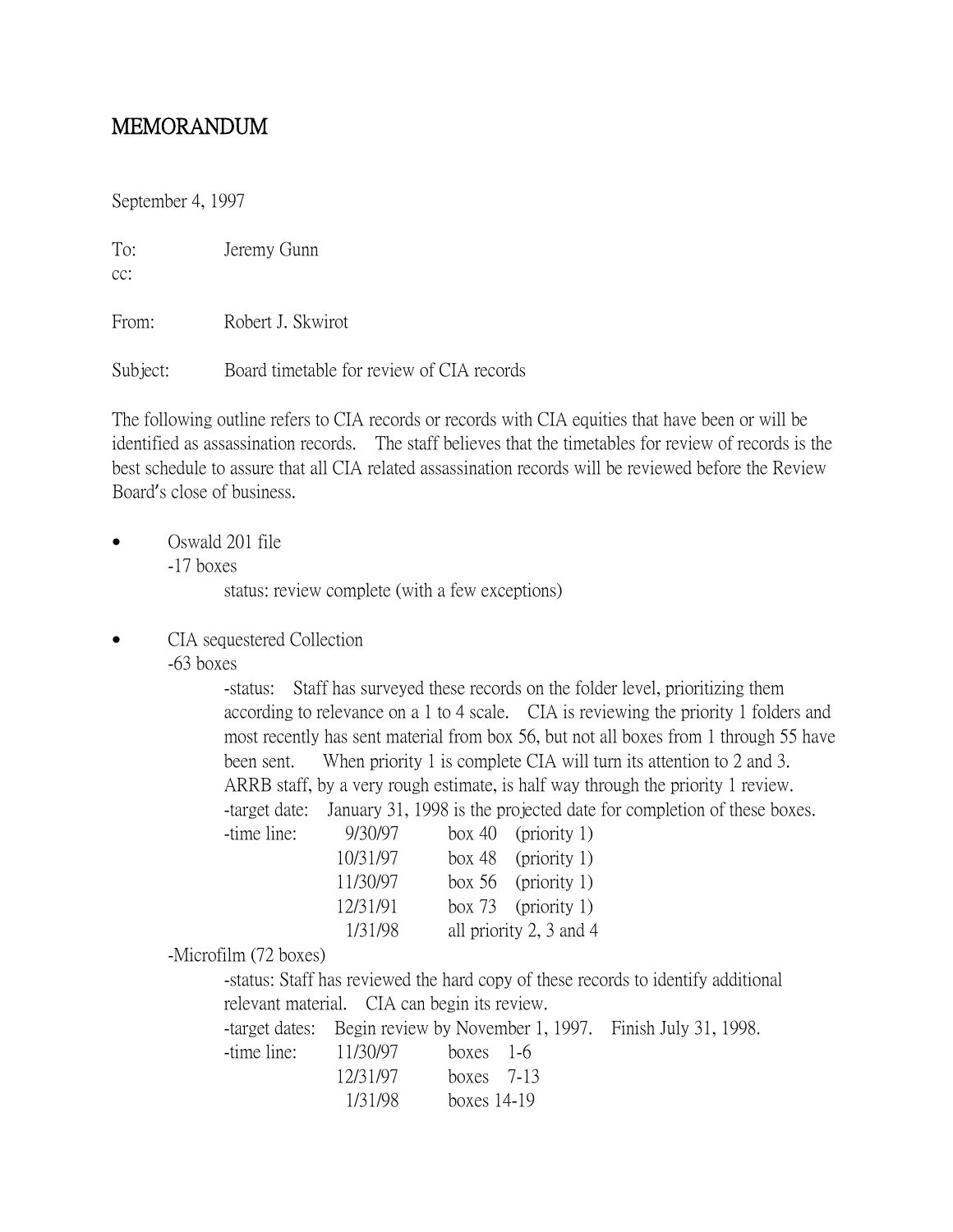## MEMORANDUM

September 4, 1997

To: Jeremy Gunn

cc:

From: Robert J. Skwirot

Subject: Board timetable for review of CIA records

The following outline refers to CIA records or records with CIA equities that have been or will be identified as assassination records. The staff believes that the timetables for review of records is the best schedule to assure that all CIA related assassination records will be reviewed before the Review Board's close of business.

• Oswald 201 file

-17 boxes

status: review complete (with a few exceptions)

- CIA sequestered Collection
	- -63 boxes

-status: Staff has surveyed these records on the folder level, prioritizing them according to relevance on a 1 to 4 scale. CIA is reviewing the priority 1 folders and most recently has sent material from box 56, but not all boxes from 1 through 55 have been sent. When priority 1 is complete CIA will turn its attention to 2 and 3. ARRB staff, by a very rough estimate, is half way through the priority 1 review. -target date: January 31, 1998 is the projected date for completion of these boxes.

| -time line: | 9/30/97  | box 40 (priority 1)     |
|-------------|----------|-------------------------|
|             | 10/31/97 | box 48 (priority 1)     |
|             | 11/30/97 | box $56$ (priority 1)   |
|             | 12/31/91 | box 73 (priority 1)     |
|             | 1/31/98  | all priority 2, 3 and 4 |

-Microfilm (72 boxes)

-status: Staff has reviewed the hard copy of these records to identify additional relevant material. CIA can begin its review. -target dates: Begin review by November 1, 1997. Finish July 31, 1998. -time line: 11/30/97 boxes 1-6

12/31/97 boxes 7-13 1/31/98 boxes 14-19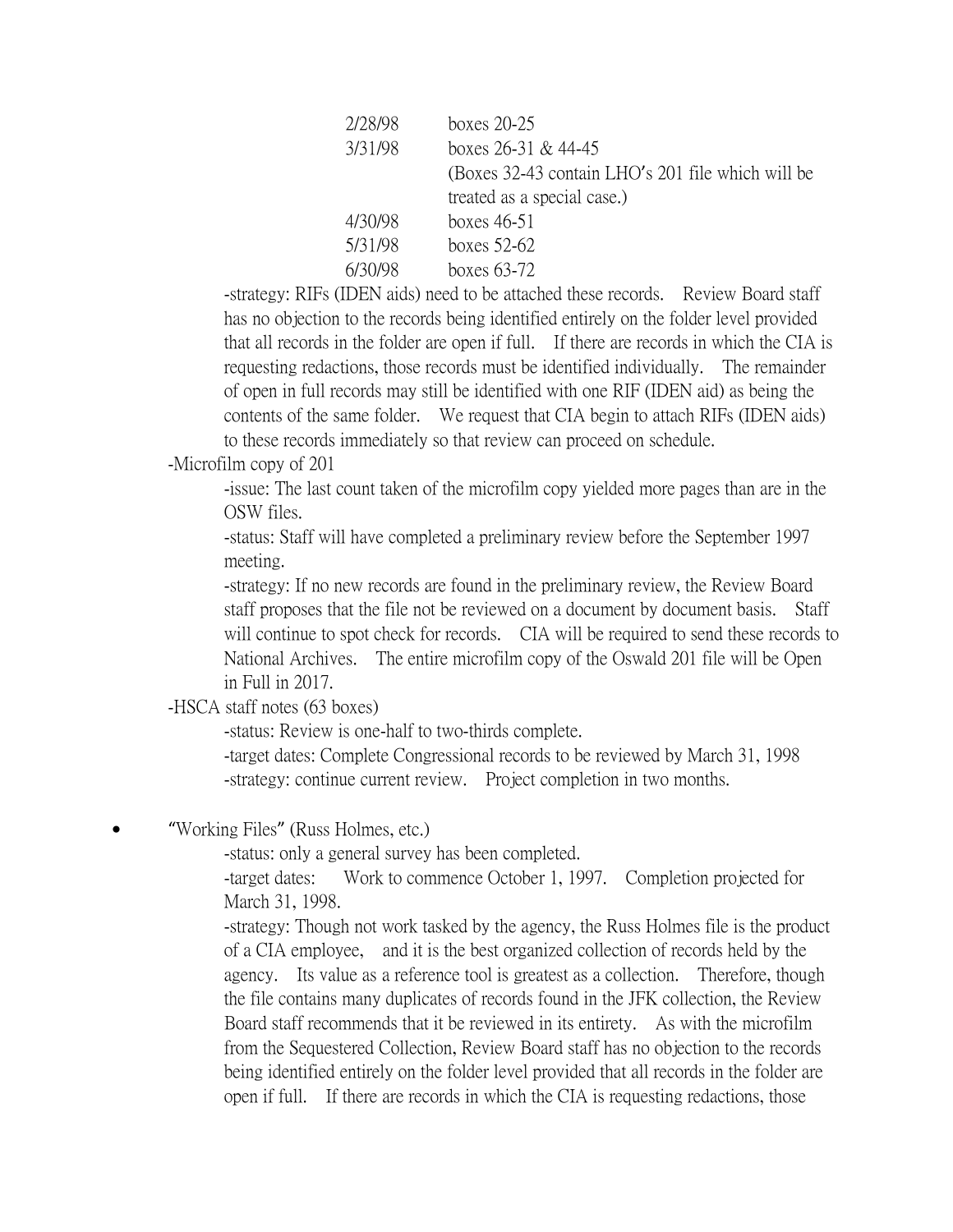| boxes $20-25$                                     |
|---------------------------------------------------|
| boxes $26-31$ & 44-45                             |
| (Boxes 32-43 contain LHO's 201 file which will be |
| treated as a special case.)                       |
| boxes $46-51$                                     |
| boxes $52-62$                                     |
| boxes $63-72$                                     |
|                                                   |

-strategy: RIFs (IDEN aids) need to be attached these records. Review Board staff has no objection to the records being identified entirely on the folder level provided that all records in the folder are open if full. If there are records in which the CIA is requesting redactions, those records must be identified individually. The remainder of open in full records may still be identified with one RIF (IDEN aid) as being the contents of the same folder. We request that CIA begin to attach RIFs (IDEN aids) to these records immediately so that review can proceed on schedule.

## -Microfilm copy of 201

-issue: The last count taken of the microfilm copy yielded more pages than are in the OSW files.

-status: Staff will have completed a preliminary review before the September 1997 meeting.

-strategy: If no new records are found in the preliminary review, the Review Board staff proposes that the file not be reviewed on a document by document basis. Staff will continue to spot check for records. CIA will be required to send these records to National Archives. The entire microfilm copy of the Oswald 201 file will be Open in Full in 2017.

-HSCA staff notes (63 boxes)

-status: Review is one-half to two-thirds complete.

-target dates: Complete Congressional records to be reviewed by March 31, 1998 -strategy: continue current review. Project completion in two months.

"Working Files" (Russ Holmes, etc.)

-status: only a general survey has been completed.

-target dates: Work to commence October 1, 1997. Completion projected for March 31, 1998.

-strategy: Though not work tasked by the agency, the Russ Holmes file is the product of a CIA employee, and it is the best organized collection of records held by the agency. Its value as a reference tool is greatest as a collection. Therefore, though the file contains many duplicates of records found in the JFK collection, the Review Board staff recommends that it be reviewed in its entirety. As with the microfilm from the Sequestered Collection, Review Board staff has no objection to the records being identified entirely on the folder level provided that all records in the folder are open if full. If there are records in which the CIA is requesting redactions, those